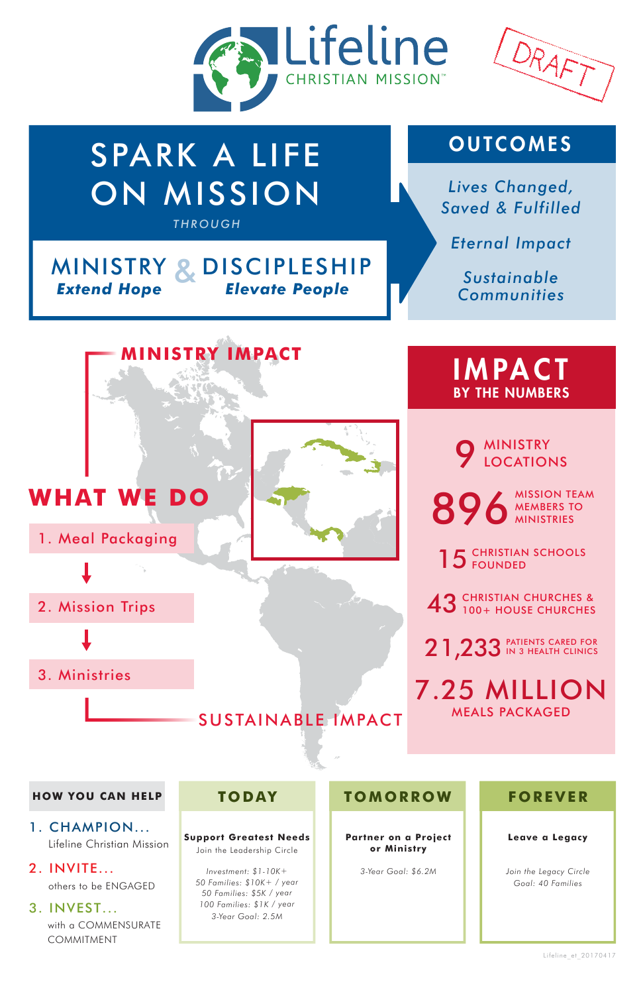## **HOW YOU CAN HELP**

#### 1. CHAMPION...

Lifeline Christian Mission

#### 2. INVITE...

others to be ENGAGED

#### 3. INVEST...

 with a COMMENSURATE COMMITMENT

Lifeline\_et\_20170417

#### **TODAY TOMORROW FOREVER**





# MINISTRY & DISCIPLESHIP SPARK A LIFE ON MISSION *Extend Hope Elevate People Lives Changed, Saved & Fulfilled Eternal Impact Sustainable Communities* **WHAT WE DO** 7.25 MILLION MEALS PACKAGED MINISTRY<br>LOCATIONS 896 MISSION TEAM MEMBERS TO MINISTRIES 15 CHRISTIAN SCHOOLS 43 CHRISTIAN CHURCHES & 21,233 IN 3 HEALTH CLINICS IMPACT BY THE NUMBERS **OUTCOMES** 1. Meal Packaging 2. Mission Trips 3. Ministries *THROUGH*  SUSTAINABLE IMPACT **MINISTRY IMPACT**

#### **Support Greatest Needs Partner on a Project**

# **or Ministry**

#### **Leave a Legacy**

Join the Leadership Circle

*3-Year Goal: \$6.2M Join the Legacy Circle*

*Investment: \$1-10K+ 3-Year Goal: 2.5M 50 Families: \$10K+ / year Goal: 40 Families 50 Families: \$5K / year 100 Families: \$1K / year*